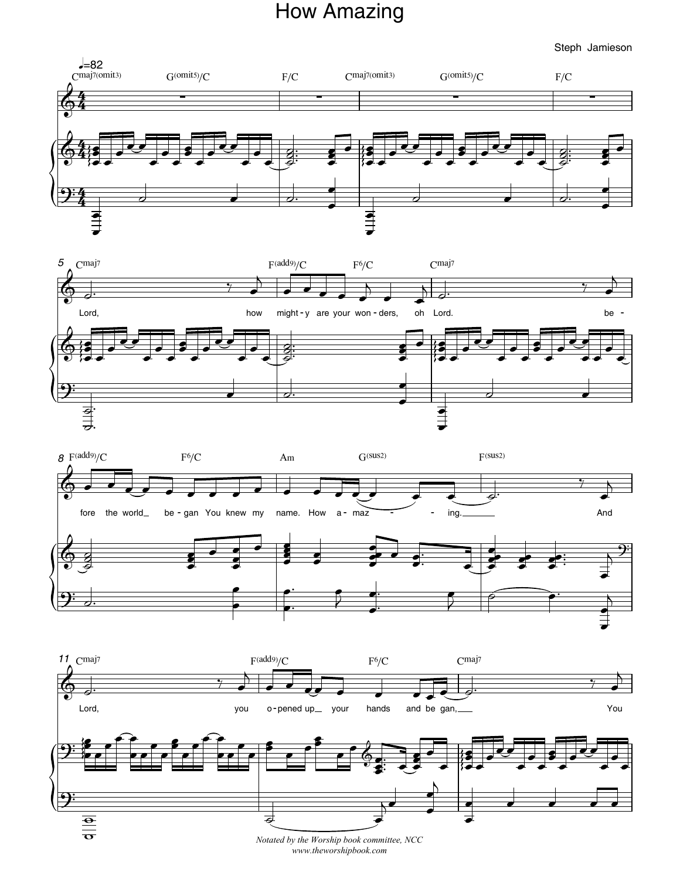## How Amazing

Steph Jamieson



*Notated by the Worship book committee, NCC www.theworshipbook.com*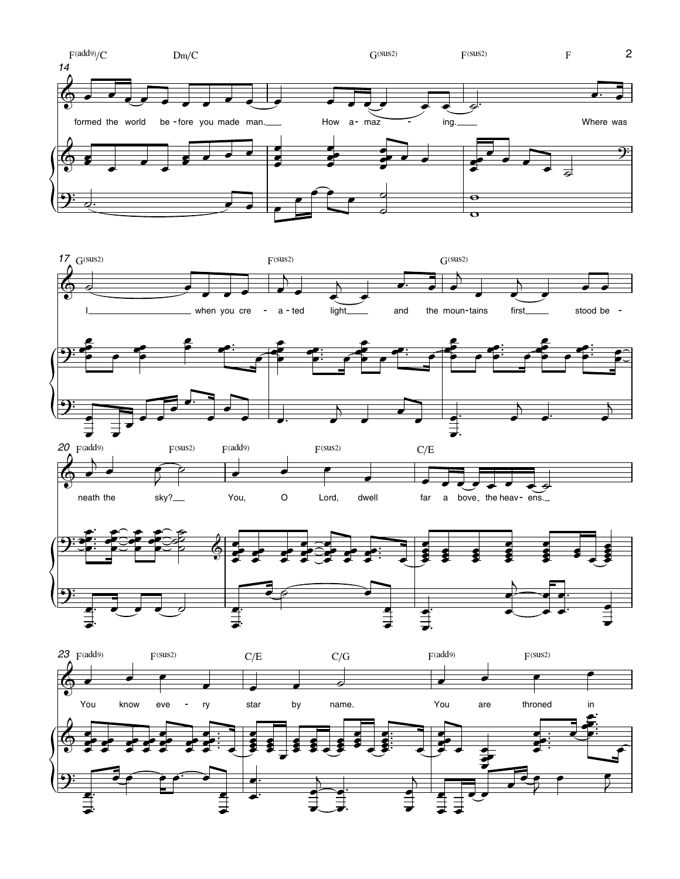







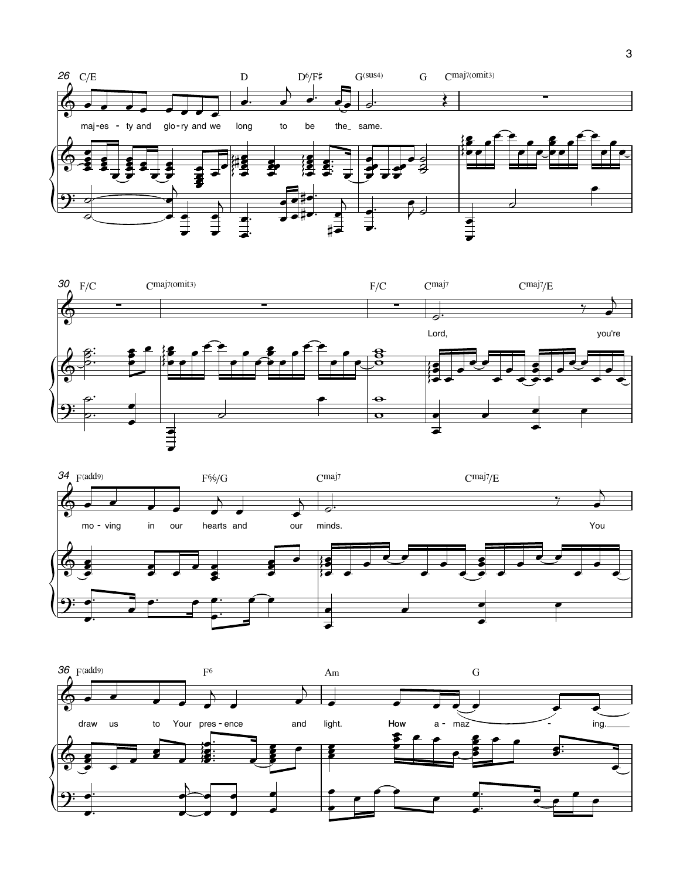





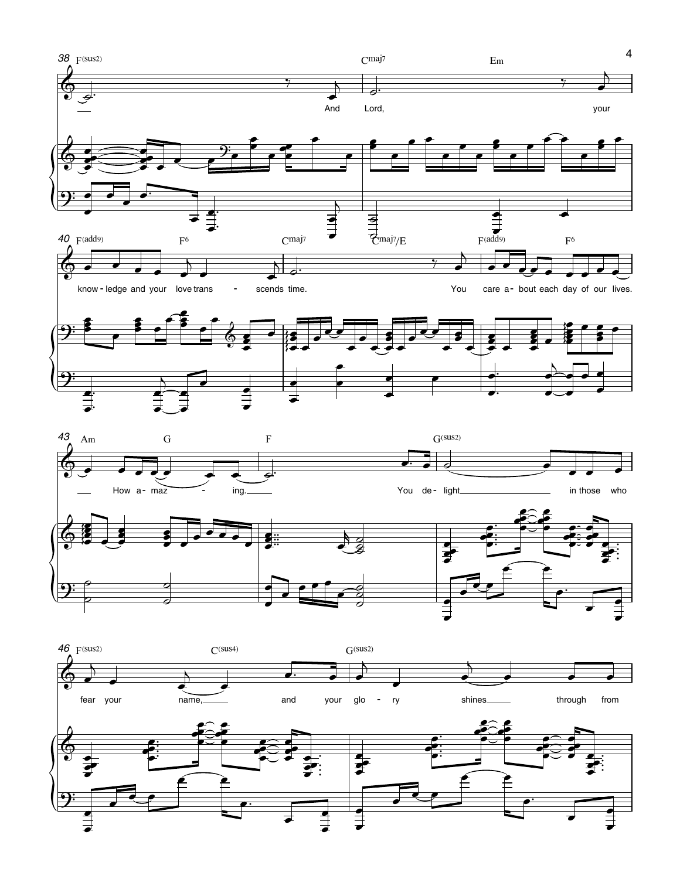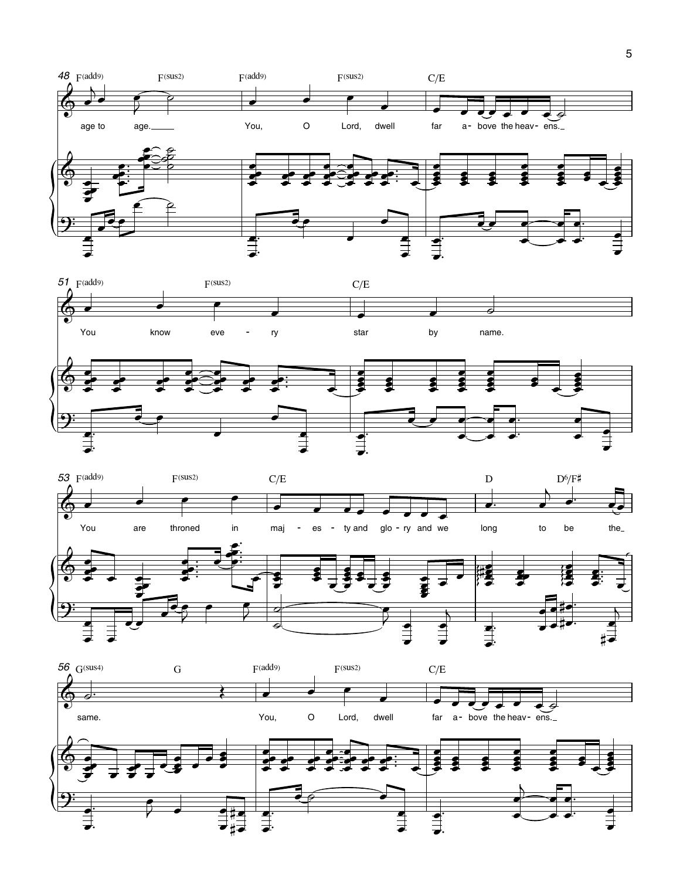